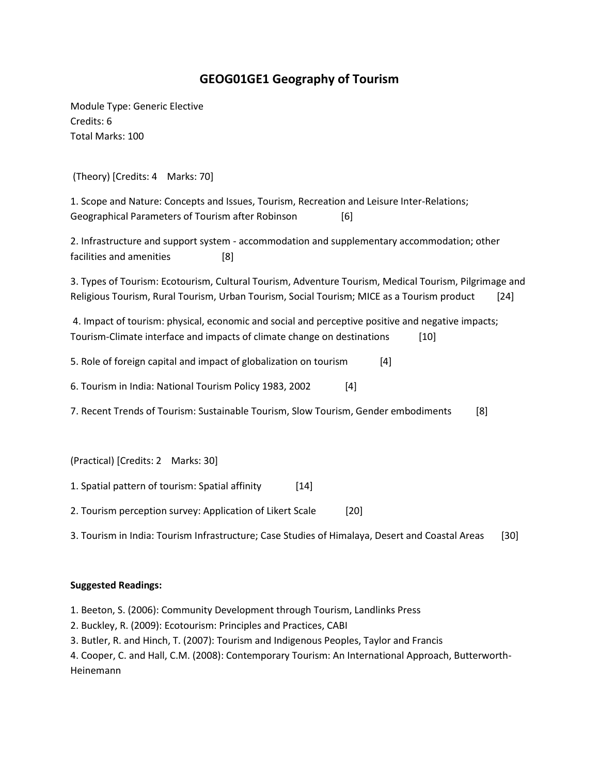## **GEOG01GE1 Geography of Tourism**

Module Type: Generic Elective Credits: 6 Total Marks: 100

(Theory) [Credits: 4 Marks: 70]

1. Scope and Nature: Concepts and Issues, Tourism, Recreation and Leisure Inter-Relations; Geographical Parameters of Tourism after Robinson [6]

2. Infrastructure and support system - accommodation and supplementary accommodation; other facilities and amenities [8]

3. Types of Tourism: Ecotourism, Cultural Tourism, Adventure Tourism, Medical Tourism, Pilgrimage and Religious Tourism, Rural Tourism, Urban Tourism, Social Tourism; MICE as a Tourism product [24]

4. Impact of tourism: physical, economic and social and perceptive positive and negative impacts; Tourism-Climate interface and impacts of climate change on destinations [10]

5. Role of foreign capital and impact of globalization on tourism [4]

6. Tourism in India: National Tourism Policy 1983, 2002 [4]

7. Recent Trends of Tourism: Sustainable Tourism, Slow Tourism, Gender embodiments [8]

(Practical) [Credits: 2 Marks: 30]

1. Spatial pattern of tourism: Spatial affinity [14]

2. Tourism perception survey: Application of Likert Scale [20]

3. Tourism in India: Tourism Infrastructure; Case Studies of Himalaya, Desert and Coastal Areas [30]

## **Suggested Readings:**

1. Beeton, S. (2006): Community Development through Tourism, Landlinks Press

2. Buckley, R. (2009): Ecotourism: Principles and Practices, CABI

3. Butler, R. and Hinch, T. (2007): Tourism and Indigenous Peoples, Taylor and Francis

4. Cooper, C. and Hall, C.M. (2008): Contemporary Tourism: An International Approach, Butterworth-Heinemann